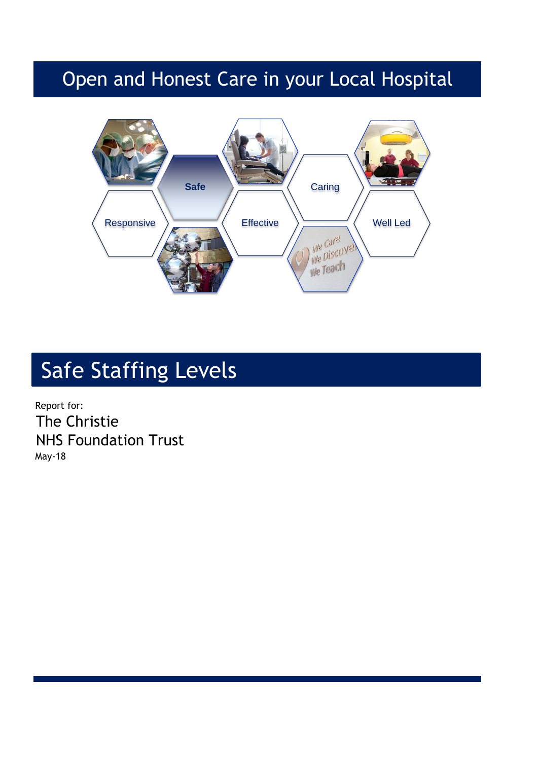## Open and Honest Care in your Local Hospital



# Safe Staffing Levels

Report for: The Christie NHS Foundation Trust May-18